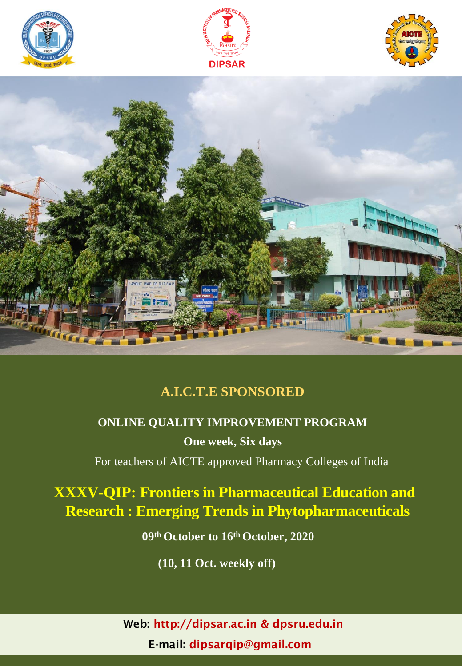





### **A.I.C.T.E SPONSORED**

# **ONLINE QUALITY IMPROVEMENT PROGRAM**

**One week, Six days**

For teachers of AICTE approved Pharmacy Colleges of India

## **XXXV-QIP: Frontiers in Pharmaceutical Education and Research : Emerging Trends in Phytopharmaceuticals**

**09th October to 16th October, 2020** 

**(10, 11 Oct. weekly off)**

Web: [http://dipsar.ac.in &](http://dipsar.ac.in/) dpsru.edu.in E-mail: [dipsarqip@gmail.com](mailto:dipsarqip@gmail.com)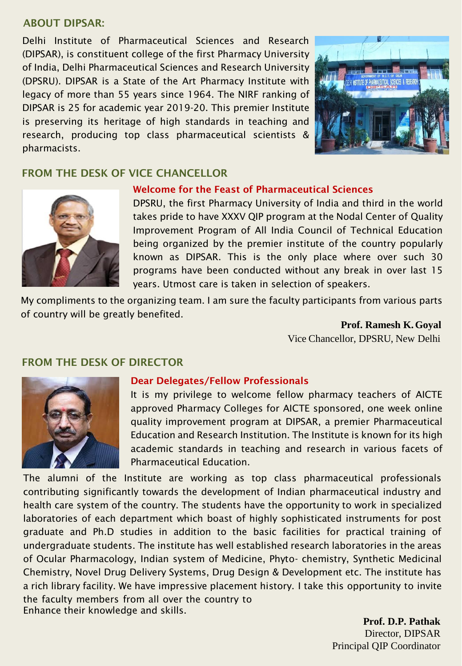#### ABOUT DIPSAR:

Delhi Institute of Pharmaceutical Sciences and Research (DIPSAR), is constituent college of the first Pharmacy University of India, Delhi Pharmaceutical Sciences and Research University (DPSRU). DIPSAR is a State of the Art Pharmacy Institute with legacy of more than 55 years since 1964. The NIRF ranking of DIPSAR is 25 for academic year 2019-20. This premier Institute is preserving its heritage of high standards in teaching and research, producing top class pharmaceutical scientists & pharmacists.



#### FROM THE DESK OF VICE CHANCELLOR



#### Welcome for the Feast of Pharmaceutical Sciences

DPSRU, the first Pharmacy University of India and third in the world takes pride to have XXXV QIP program at the Nodal Center of Quality Improvement Program of All India Council of Technical Education being organized by the premier institute of the country popularly known as DIPSAR. This is the only place where over such 30 programs have been conducted without any break in over last 15 years. Utmost care is taken in selection of speakers.

My compliments to the organizing team. I am sure the faculty participants from various parts of country will be greatly benefited.

> **Prof. Ramesh K.Goyal** Vice Chancellor, DPSRU, New Delhi

#### FROM THE DESK OF DIRECTOR



#### Dear Delegates/Fellow Professionals

It is my privilege to welcome fellow pharmacy teachers of AICTE approved Pharmacy Colleges for AICTE sponsored, one week online quality improvement program at DIPSAR, a premier Pharmaceutical Education and Research Institution. The Institute is known for its high academic standards in teaching and research in various facets of Pharmaceutical Education.

The alumni of the Institute are working as top class pharmaceutical professionals contributing significantly towards the development of Indian pharmaceutical industry and health care system of the country. The students have the opportunity to work in specialized laboratories of each department which boast of highly sophisticated instruments for post graduate and Ph.D studies in addition to the basic facilities for practical training of undergraduate students. The institute has well established research laboratories in the areas of Ocular Pharmacology, Indian system of Medicine, Phyto- chemistry, Synthetic Medicinal Chemistry, Novel Drug Delivery Systems, Drug Design & Development etc. The institute has a rich library facility. We have impressive placement history. I take this opportunity to invite the faculty members from all over the country to Enhance their knowledge and skills.

**Prof. D.P. Pathak** Director, DIPSAR Principal QIP Coordinator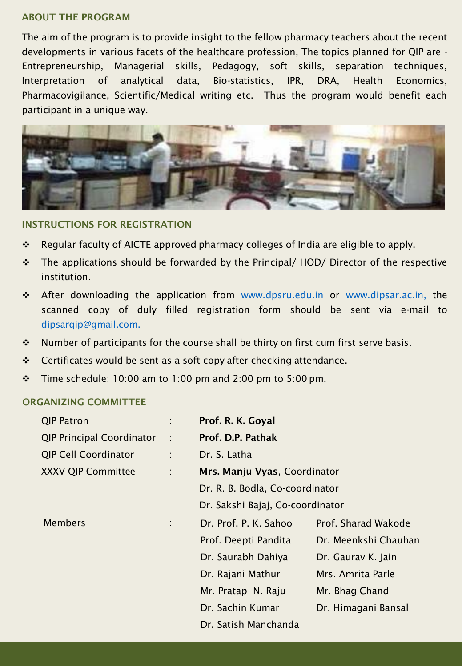#### ABOUT THE PROGRAM

The aim of the program is to provide insight to the fellow pharmacy teachers about the recent developments in various facets of the healthcare profession, The topics planned for QIP are - Entrepreneurship, Managerial skills, Pedagogy, soft skills, separation techniques, Interpretation of analytical data, Bio-statistics, IPR, DRA, Health Economics, Pharmacovigilance, Scientific/Medical writing etc. Thus the program would benefit each participant in a unique way.



#### INSTRUCTIONS FOR REGISTRATION

- Regular faculty of AICTE approved pharmacy colleges of India are eligible to apply.
- $\div$  The applications should be forwarded by the Principal/HOD/ Director of the respective institution.
- \* After downloading the application from [www.dpsru.edu.in](http://www.dpsru.edu.in/) or [www.dipsar.ac.in,](http://www.dipsar.ac.in/) the scanned copy of duly filled registration form should be sent via e-mail t[o](mailto:dipsarqip@gmail.com) [dipsarqip@gmail.com.](mailto:dipsarqip@gmail.com)
- $\cdot$  Number of participants for the course shall be thirty on first cum first serve basis.
- ❖ Certificates would be sent as a soft copy after checking attendance.
- $\div$  Time schedule: 10:00 am to 1:00 pm and 2:00 pm to 5:00 pm.

#### ORGANIZING COMMITTEE

| <b>QIP Patron</b>                |                | Prof. R. K. Goyal                |                      |
|----------------------------------|----------------|----------------------------------|----------------------|
| <b>QIP Principal Coordinator</b> | - 11           | Prof. D.P. Pathak                |                      |
| <b>QIP Cell Coordinator</b>      | ÷              | Dr. S. Latha                     |                      |
| <b>XXXV QIP Committee</b>        | ÷              | Mrs. Manju Vyas, Coordinator     |                      |
|                                  |                | Dr. R. B. Bodla, Co-coordinator  |                      |
|                                  |                | Dr. Sakshi Bajaj, Co-coordinator |                      |
| <b>Members</b>                   | $\mathbb{R}^n$ | Dr. Prof. P. K. Sahoo            | Prof. Sharad Wakode  |
|                                  |                | Prof. Deepti Pandita             | Dr. Meenkshi Chauhan |
|                                  |                | Dr. Saurabh Dahiya               | Dr. Gaurav K. Jain   |
|                                  |                | Dr. Rajani Mathur                | Mrs. Amrita Parle    |
|                                  |                | Mr. Pratap N. Raju               | Mr. Bhag Chand       |
|                                  |                | Dr. Sachin Kumar                 | Dr. Himagani Bansal  |
|                                  |                | Dr. Satish Manchanda             |                      |